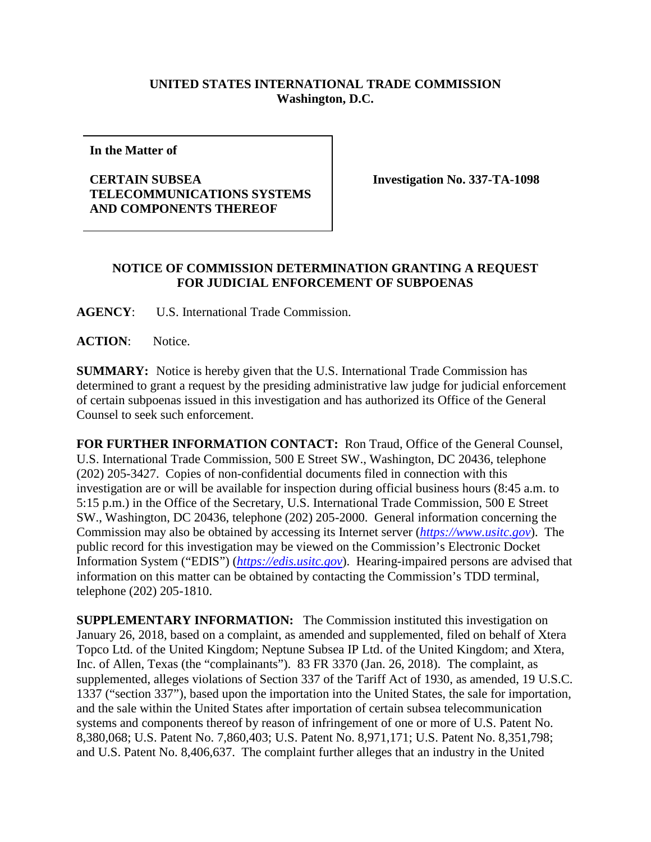## **UNITED STATES INTERNATIONAL TRADE COMMISSION Washington, D.C.**

**In the Matter of**

## **CERTAIN SUBSEA TELECOMMUNICATIONS SYSTEMS AND COMPONENTS THEREOF**

**Investigation No. 337-TA-1098**

## **NOTICE OF COMMISSION DETERMINATION GRANTING A REQUEST FOR JUDICIAL ENFORCEMENT OF SUBPOENAS**

**AGENCY**: U.S. International Trade Commission.

**ACTION**: Notice.

**SUMMARY:** Notice is hereby given that the U.S. International Trade Commission has determined to grant a request by the presiding administrative law judge for judicial enforcement of certain subpoenas issued in this investigation and has authorized its Office of the General Counsel to seek such enforcement.

**FOR FURTHER INFORMATION CONTACT:** Ron Traud, Office of the General Counsel, U.S. International Trade Commission, 500 E Street SW., Washington, DC 20436, telephone (202) 205-3427. Copies of non-confidential documents filed in connection with this investigation are or will be available for inspection during official business hours (8:45 a.m. to 5:15 p.m.) in the Office of the Secretary, U.S. International Trade Commission, 500 E Street SW., Washington, DC 20436, telephone (202) 205-2000. General information concerning the Commission may also be obtained by accessing its Internet server (*[https://www.usitc.gov](https://www.usitc.gov/)*). The public record for this investigation may be viewed on the Commission's Electronic Docket Information System ("EDIS") (*[https://edis.usitc.gov](https://edis.usitc.gov/)*). Hearing-impaired persons are advised that information on this matter can be obtained by contacting the Commission's TDD terminal, telephone (202) 205-1810.

**SUPPLEMENTARY INFORMATION:** The Commission instituted this investigation on January 26, 2018, based on a complaint, as amended and supplemented, filed on behalf of Xtera Topco Ltd. of the United Kingdom; Neptune Subsea IP Ltd. of the United Kingdom; and Xtera, Inc. of Allen, Texas (the "complainants"). 83 FR 3370 (Jan. 26, 2018). The complaint, as supplemented, alleges violations of Section 337 of the Tariff Act of 1930, as amended, 19 U.S.C. 1337 ("section 337"), based upon the importation into the United States, the sale for importation, and the sale within the United States after importation of certain subsea telecommunication systems and components thereof by reason of infringement of one or more of U.S. Patent No. 8,380,068; U.S. Patent No. 7,860,403; U.S. Patent No. 8,971,171; U.S. Patent No. 8,351,798; and U.S. Patent No. 8,406,637. The complaint further alleges that an industry in the United